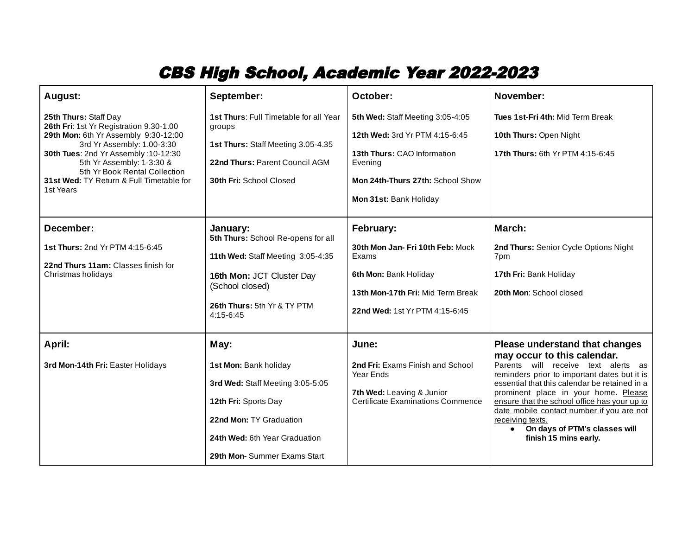## CBS High School, Academic Year 2022-2023

| August:                                                                                                                                                                                                                                                                                               | September:                                                                                                                                                                           | October:                                                                                                                                                                   | November:                                                                                                                                                                                                                                                                                                                                                                                                                  |
|-------------------------------------------------------------------------------------------------------------------------------------------------------------------------------------------------------------------------------------------------------------------------------------------------------|--------------------------------------------------------------------------------------------------------------------------------------------------------------------------------------|----------------------------------------------------------------------------------------------------------------------------------------------------------------------------|----------------------------------------------------------------------------------------------------------------------------------------------------------------------------------------------------------------------------------------------------------------------------------------------------------------------------------------------------------------------------------------------------------------------------|
| 25th Thurs: Staff Day<br>26th Fri: 1st Yr Registration 9.30-1.00<br>29th Mon: 6th Yr Assembly 9:30-12:00<br>3rd Yr Assembly: 1.00-3:30<br>30th Tues: 2nd Yr Assembly: 10-12:30<br>5th Yr Assembly: 1-3:30 &<br>5th Yr Book Rental Collection<br>31st Wed: TY Return & Full Timetable for<br>1st Years | 1st Thurs: Full Timetable for all Year<br>groups<br>1st Thurs: Staff Meeting 3.05-4.35<br>22nd Thurs: Parent Council AGM<br>30th Fri: School Closed                                  | 5th Wed: Staff Meeting 3:05-4:05<br>12th Wed: 3rd Yr PTM 4:15-6:45<br>13th Thurs: CAO Information<br>Evening<br>Mon 24th-Thurs 27th: School Show<br>Mon 31st: Bank Holiday | Tues 1st-Fri 4th: Mid Term Break<br>10th Thurs: Open Night<br>17th Thurs: 6th Yr PTM 4:15-6:45                                                                                                                                                                                                                                                                                                                             |
| December:<br>1st Thurs: 2nd Yr PTM 4:15-6:45<br>22nd Thurs 11am: Classes finish for<br>Christmas holidays                                                                                                                                                                                             | January:<br>5th Thurs: School Re-opens for all<br>11th Wed: Staff Meeting 3:05-4:35<br>16th Mon: JCT Cluster Day<br>(School closed)<br>26th Thurs: 5th Yr & TY PTM<br>4:15-6:45      | <b>February:</b><br>30th Mon Jan- Fri 10th Feb: Mock<br>Exams<br>6th Mon: Bank Holiday<br>13th Mon-17th Fri: Mid Term Break<br>22nd Wed: 1st Yr PTM 4:15-6:45              | March:<br>2nd Thurs: Senior Cycle Options Night<br>7pm<br>17th Fri: Bank Holiday<br>20th Mon: School closed                                                                                                                                                                                                                                                                                                                |
| <b>April:</b><br>3rd Mon-14th Fri: Easter Holidays                                                                                                                                                                                                                                                    | May:<br>1st Mon: Bank holiday<br>3rd Wed: Staff Meeting 3:05-5:05<br>12th Fri: Sports Day<br>22nd Mon: TY Graduation<br>24th Wed: 6th Year Graduation<br>29th Mon-Summer Exams Start | June:<br>2nd Fri: Exams Finish and School<br><b>Year Ends</b><br>7th Wed: Leaving & Junior<br>Certificate Examinations Commence                                            | Please understand that changes<br>may occur to this calendar.<br>Parents will receive text alerts as<br>reminders prior to important dates but it is<br>essential that this calendar be retained in a<br>prominent place in your home. Please<br>ensure that the school office has your up to<br>date mobile contact number if you are not<br>receiving texts.<br>• On days of PTM's classes will<br>finish 15 mins early. |